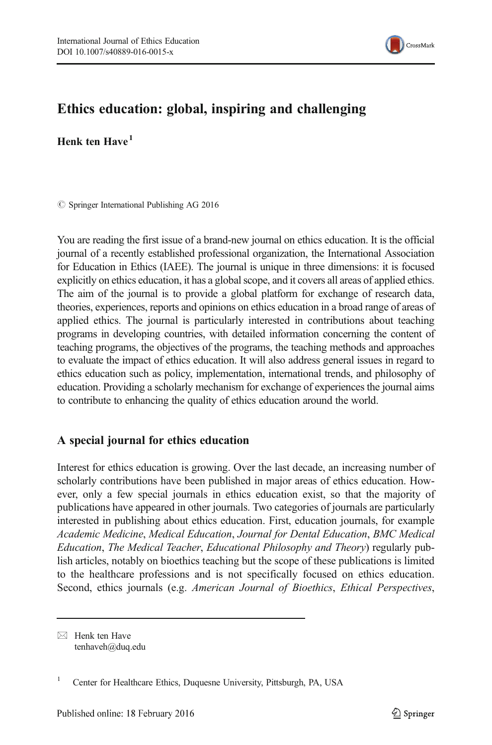

# Ethics education: global, inspiring and challenging

Henk ten  $H$ ave $<sup>1</sup>$ </sup>

 $\circ$  Springer International Publishing AG 2016

You are reading the first issue of a brand-new journal on ethics education. It is the official journal of a recently established professional organization, the International Association for Education in Ethics (IAEE). The journal is unique in three dimensions: it is focused explicitly on ethics education, it has a global scope, and it covers all areas of applied ethics. The aim of the journal is to provide a global platform for exchange of research data, theories, experiences, reports and opinions on ethics education in a broad range of areas of applied ethics. The journal is particularly interested in contributions about teaching programs in developing countries, with detailed information concerning the content of teaching programs, the objectives of the programs, the teaching methods and approaches to evaluate the impact of ethics education. It will also address general issues in regard to ethics education such as policy, implementation, international trends, and philosophy of education. Providing a scholarly mechanism for exchange of experiences the journal aims to contribute to enhancing the quality of ethics education around the world.

## A special journal for ethics education

Interest for ethics education is growing. Over the last decade, an increasing number of scholarly contributions have been published in major areas of ethics education. However, only a few special journals in ethics education exist, so that the majority of publications have appeared in other journals. Two categories of journals are particularly interested in publishing about ethics education. First, education journals, for example Academic Medicine, Medical Education, Journal for Dental Education, BMC Medical Education, The Medical Teacher, Educational Philosophy and Theory) regularly publish articles, notably on bioethics teaching but the scope of these publications is limited to the healthcare professions and is not specifically focused on ethics education. Second, ethics journals (e.g. American Journal of Bioethics, Ethical Perspectives,

 $\boxtimes$  Henk ten Have tenhaveh@duq.edu

<sup>&</sup>lt;sup>1</sup> Center for Healthcare Ethics, Duquesne University, Pittsburgh, PA, USA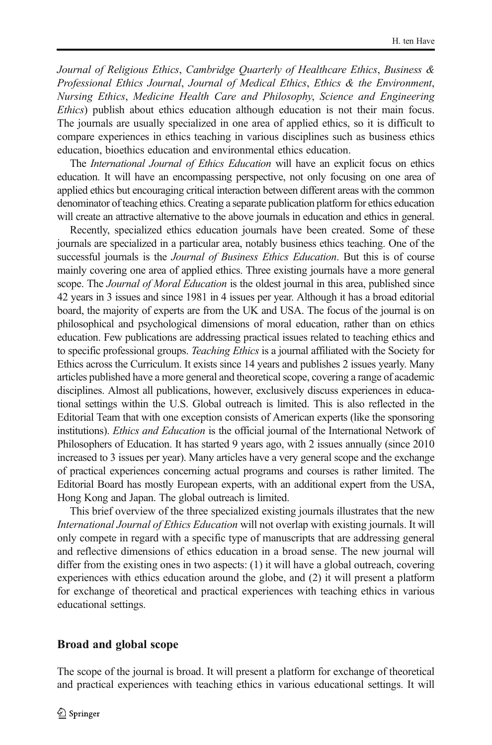Journal of Religious Ethics, Cambridge Quarterly of Healthcare Ethics, Business & Professional Ethics Journal, Journal of Medical Ethics, Ethics & the Environment, Nursing Ethics, Medicine Health Care and Philosophy, Science and Engineering Ethics) publish about ethics education although education is not their main focus. The journals are usually specialized in one area of applied ethics, so it is difficult to compare experiences in ethics teaching in various disciplines such as business ethics education, bioethics education and environmental ethics education.

The International Journal of Ethics Education will have an explicit focus on ethics education. It will have an encompassing perspective, not only focusing on one area of applied ethics but encouraging critical interaction between different areas with the common denominator of teaching ethics. Creating a separate publication platform for ethics education will create an attractive alternative to the above journals in education and ethics in general.

Recently, specialized ethics education journals have been created. Some of these journals are specialized in a particular area, notably business ethics teaching. One of the successful journals is the *Journal of Business Ethics Education*. But this is of course mainly covering one area of applied ethics. Three existing journals have a more general scope. The Journal of Moral Education is the oldest journal in this area, published since 42 years in 3 issues and since 1981 in 4 issues per year. Although it has a broad editorial board, the majority of experts are from the UK and USA. The focus of the journal is on philosophical and psychological dimensions of moral education, rather than on ethics education. Few publications are addressing practical issues related to teaching ethics and to specific professional groups. *Teaching Ethics* is a journal affiliated with the Society for Ethics across the Curriculum. It exists since 14 years and publishes 2 issues yearly. Many articles published have a more general and theoretical scope, covering a range of academic disciplines. Almost all publications, however, exclusively discuss experiences in educational settings within the U.S. Global outreach is limited. This is also reflected in the Editorial Team that with one exception consists of American experts (like the sponsoring institutions). Ethics and Education is the official journal of the International Network of Philosophers of Education. It has started 9 years ago, with 2 issues annually (since 2010 increased to 3 issues per year). Many articles have a very general scope and the exchange of practical experiences concerning actual programs and courses is rather limited. The Editorial Board has mostly European experts, with an additional expert from the USA, Hong Kong and Japan. The global outreach is limited.

This brief overview of the three specialized existing journals illustrates that the new International Journal of Ethics Education will not overlap with existing journals. It will only compete in regard with a specific type of manuscripts that are addressing general and reflective dimensions of ethics education in a broad sense. The new journal will differ from the existing ones in two aspects: (1) it will have a global outreach, covering experiences with ethics education around the globe, and (2) it will present a platform for exchange of theoretical and practical experiences with teaching ethics in various educational settings.

#### Broad and global scope

The scope of the journal is broad. It will present a platform for exchange of theoretical and practical experiences with teaching ethics in various educational settings. It will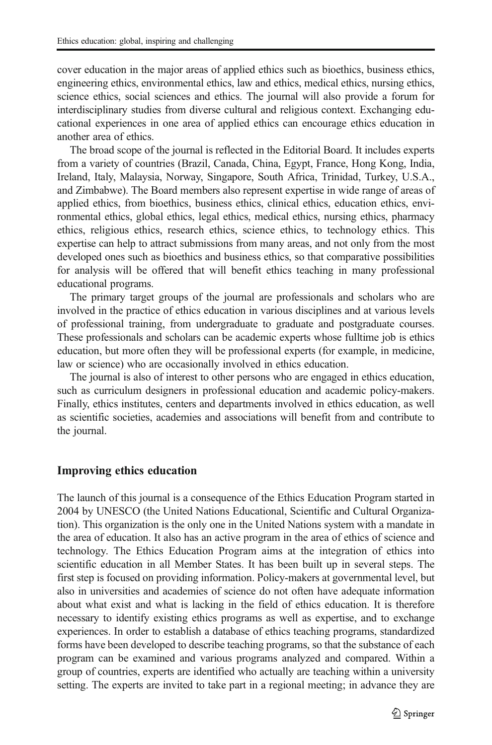cover education in the major areas of applied ethics such as bioethics, business ethics, engineering ethics, environmental ethics, law and ethics, medical ethics, nursing ethics, science ethics, social sciences and ethics. The journal will also provide a forum for interdisciplinary studies from diverse cultural and religious context. Exchanging educational experiences in one area of applied ethics can encourage ethics education in another area of ethics.

The broad scope of the journal is reflected in the Editorial Board. It includes experts from a variety of countries (Brazil, Canada, China, Egypt, France, Hong Kong, India, Ireland, Italy, Malaysia, Norway, Singapore, South Africa, Trinidad, Turkey, U.S.A., and Zimbabwe). The Board members also represent expertise in wide range of areas of applied ethics, from bioethics, business ethics, clinical ethics, education ethics, environmental ethics, global ethics, legal ethics, medical ethics, nursing ethics, pharmacy ethics, religious ethics, research ethics, science ethics, to technology ethics. This expertise can help to attract submissions from many areas, and not only from the most developed ones such as bioethics and business ethics, so that comparative possibilities for analysis will be offered that will benefit ethics teaching in many professional educational programs.

The primary target groups of the journal are professionals and scholars who are involved in the practice of ethics education in various disciplines and at various levels of professional training, from undergraduate to graduate and postgraduate courses. These professionals and scholars can be academic experts whose fulltime job is ethics education, but more often they will be professional experts (for example, in medicine, law or science) who are occasionally involved in ethics education.

The journal is also of interest to other persons who are engaged in ethics education, such as curriculum designers in professional education and academic policy-makers. Finally, ethics institutes, centers and departments involved in ethics education, as well as scientific societies, academies and associations will benefit from and contribute to the journal.

#### Improving ethics education

The launch of this journal is a consequence of the Ethics Education Program started in 2004 by UNESCO (the United Nations Educational, Scientific and Cultural Organization). This organization is the only one in the United Nations system with a mandate in the area of education. It also has an active program in the area of ethics of science and technology. The Ethics Education Program aims at the integration of ethics into scientific education in all Member States. It has been built up in several steps. The first step is focused on providing information. Policy-makers at governmental level, but also in universities and academies of science do not often have adequate information about what exist and what is lacking in the field of ethics education. It is therefore necessary to identify existing ethics programs as well as expertise, and to exchange experiences. In order to establish a database of ethics teaching programs, standardized forms have been developed to describe teaching programs, so that the substance of each program can be examined and various programs analyzed and compared. Within a group of countries, experts are identified who actually are teaching within a university setting. The experts are invited to take part in a regional meeting; in advance they are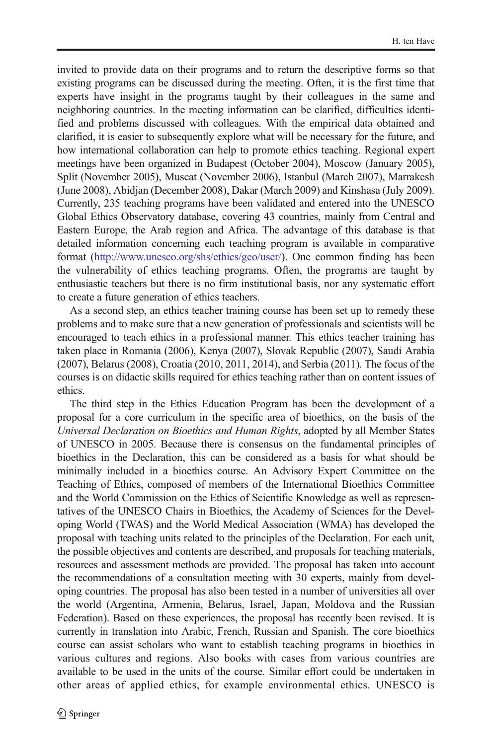invited to provide data on their programs and to return the descriptive forms so that existing programs can be discussed during the meeting. Often, it is the first time that experts have insight in the programs taught by their colleagues in the same and neighboring countries. In the meeting information can be clarified, difficulties identified and problems discussed with colleagues. With the empirical data obtained and clarified, it is easier to subsequently explore what will be necessary for the future, and how international collaboration can help to promote ethics teaching. Regional expert meetings have been organized in Budapest (October 2004), Moscow (January 2005), Split (November 2005), Muscat (November 2006), Istanbul (March 2007), Marrakesh (June 2008), Abidjan (December 2008), Dakar (March 2009) and Kinshasa (July 2009). Currently, 235 teaching programs have been validated and entered into the UNESCO Global Ethics Observatory database, covering 43 countries, mainly from Central and Eastern Europe, the Arab region and Africa. The advantage of this database is that detailed information concerning each teaching program is available in comparative format [\(http://www.unesco.org/shs/ethics/geo/user/](http://www.unesco.org/shs/ethics/geo/user/)). One common finding has been the vulnerability of ethics teaching programs. Often, the programs are taught by enthusiastic teachers but there is no firm institutional basis, nor any systematic effort to create a future generation of ethics teachers.

As a second step, an ethics teacher training course has been set up to remedy these problems and to make sure that a new generation of professionals and scientists will be encouraged to teach ethics in a professional manner. This ethics teacher training has taken place in Romania (2006), Kenya (2007), Slovak Republic (2007), Saudi Arabia (2007), Belarus (2008), Croatia (2010, 2011, 2014), and Serbia (2011). The focus of the courses is on didactic skills required for ethics teaching rather than on content issues of ethics.

The third step in the Ethics Education Program has been the development of a proposal for a core curriculum in the specific area of bioethics, on the basis of the Universal Declaration on Bioethics and Human Rights, adopted by all Member States of UNESCO in 2005. Because there is consensus on the fundamental principles of bioethics in the Declaration, this can be considered as a basis for what should be minimally included in a bioethics course. An Advisory Expert Committee on the Teaching of Ethics, composed of members of the International Bioethics Committee and the World Commission on the Ethics of Scientific Knowledge as well as representatives of the UNESCO Chairs in Bioethics, the Academy of Sciences for the Developing World (TWAS) and the World Medical Association (WMA) has developed the proposal with teaching units related to the principles of the Declaration. For each unit, the possible objectives and contents are described, and proposals for teaching materials, resources and assessment methods are provided. The proposal has taken into account the recommendations of a consultation meeting with 30 experts, mainly from developing countries. The proposal has also been tested in a number of universities all over the world (Argentina, Armenia, Belarus, Israel, Japan, Moldova and the Russian Federation). Based on these experiences, the proposal has recently been revised. It is currently in translation into Arabic, French, Russian and Spanish. The core bioethics course can assist scholars who want to establish teaching programs in bioethics in various cultures and regions. Also books with cases from various countries are available to be used in the units of the course. Similar effort could be undertaken in other areas of applied ethics, for example environmental ethics. UNESCO is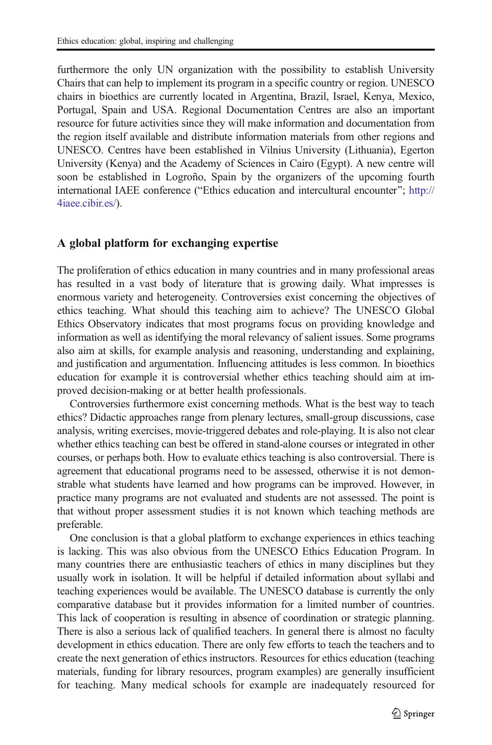furthermore the only UN organization with the possibility to establish University Chairs that can help to implement its program in a specific country or region. UNESCO chairs in bioethics are currently located in Argentina, Brazil, Israel, Kenya, Mexico, Portugal, Spain and USA. Regional Documentation Centres are also an important resource for future activities since they will make information and documentation from the region itself available and distribute information materials from other regions and UNESCO. Centres have been established in Vilnius University (Lithuania), Egerton University (Kenya) and the Academy of Sciences in Cairo (Egypt). A new centre will soon be established in Logroño, Spain by the organizers of the upcoming fourth international IAEE conference ("Ethics education and intercultural encounter"; [http://](http://4iaee.cibir.es/) [4iaee.cibir.es/\)](http://4iaee.cibir.es/).

### A global platform for exchanging expertise

The proliferation of ethics education in many countries and in many professional areas has resulted in a vast body of literature that is growing daily. What impresses is enormous variety and heterogeneity. Controversies exist concerning the objectives of ethics teaching. What should this teaching aim to achieve? The UNESCO Global Ethics Observatory indicates that most programs focus on providing knowledge and information as well as identifying the moral relevancy of salient issues. Some programs also aim at skills, for example analysis and reasoning, understanding and explaining, and justification and argumentation. Influencing attitudes is less common. In bioethics education for example it is controversial whether ethics teaching should aim at improved decision-making or at better health professionals.

Controversies furthermore exist concerning methods. What is the best way to teach ethics? Didactic approaches range from plenary lectures, small-group discussions, case analysis, writing exercises, movie-triggered debates and role-playing. It is also not clear whether ethics teaching can best be offered in stand-alone courses or integrated in other courses, or perhaps both. How to evaluate ethics teaching is also controversial. There is agreement that educational programs need to be assessed, otherwise it is not demonstrable what students have learned and how programs can be improved. However, in practice many programs are not evaluated and students are not assessed. The point is that without proper assessment studies it is not known which teaching methods are preferable.

One conclusion is that a global platform to exchange experiences in ethics teaching is lacking. This was also obvious from the UNESCO Ethics Education Program. In many countries there are enthusiastic teachers of ethics in many disciplines but they usually work in isolation. It will be helpful if detailed information about syllabi and teaching experiences would be available. The UNESCO database is currently the only comparative database but it provides information for a limited number of countries. This lack of cooperation is resulting in absence of coordination or strategic planning. There is also a serious lack of qualified teachers. In general there is almost no faculty development in ethics education. There are only few efforts to teach the teachers and to create the next generation of ethics instructors. Resources for ethics education (teaching materials, funding for library resources, program examples) are generally insufficient for teaching. Many medical schools for example are inadequately resourced for